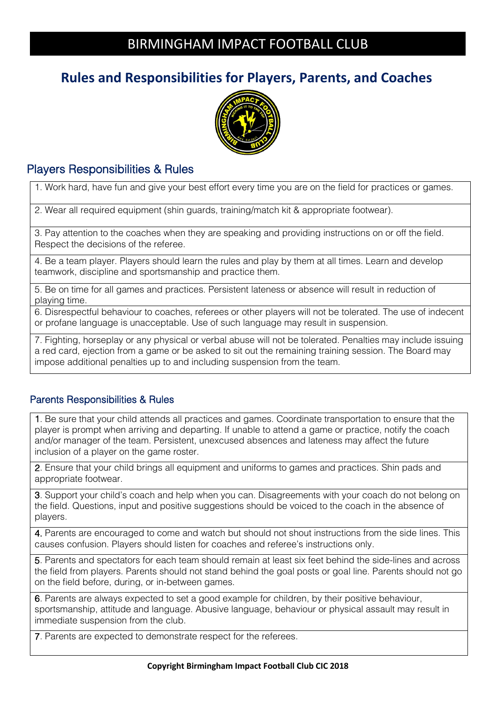## BIRMINGHAM IMPACT FOOTBALL CLUB

## **Rules and Responsibilities for Players, Parents, and Coaches**



### Players Responsibilities & Rules

1. Work hard, have fun and give your best effort every time you are on the field for practices or games.

2. Wear all required equipment (shin guards, training/match kit & appropriate footwear).

3. Pay attention to the coaches when they are speaking and providing instructions on or off the field. Respect the decisions of the referee.

4. Be a team player. Players should learn the rules and play by them at all times. Learn and develop teamwork, discipline and sportsmanship and practice them.

5. Be on time for all games and practices. Persistent lateness or absence will result in reduction of playing time.

6. Disrespectful behaviour to coaches, referees or other players will not be tolerated. The use of indecent or profane language is unacceptable. Use of such language may result in suspension.

7. Fighting, horseplay or any physical or verbal abuse will not be tolerated. Penalties may include issuing a red card, ejection from a game or be asked to sit out the remaining training session. The Board may impose additional penalties up to and including suspension from the team.

#### Parents Responsibilities & Rules

1. Be sure that your child attends all practices and games. Coordinate transportation to ensure that the player is prompt when arriving and departing. If unable to attend a game or practice, notify the coach and/or manager of the team. Persistent, unexcused absences and lateness may affect the future inclusion of a player on the game roster.

2. Ensure that your child brings all equipment and uniforms to games and practices. Shin pads and appropriate footwear.

3. Support your child's coach and help when you can. Disagreements with your coach do not belong on the field. Questions, input and positive suggestions should be voiced to the coach in the absence of players.

4. Parents are encouraged to come and watch but should not shout instructions from the side lines. This causes confusion. Players should listen for coaches and referee's instructions only.

5. Parents and spectators for each team should remain at least six feet behind the side-lines and across the field from players. Parents should not stand behind the goal posts or goal line. Parents should not go on the field before, during, or in-between games.

6. Parents are always expected to set a good example for children, by their positive behaviour, sportsmanship, attitude and language. Abusive language, behaviour or physical assault may result in immediate suspension from the club.

7. Parents are expected to demonstrate respect for the referees.